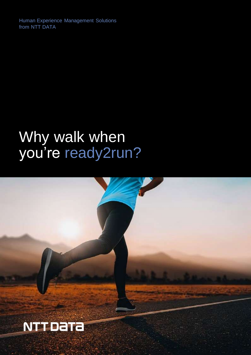Human Experience Management Solutions from NTT DATA

# Why walk when you're ready2run?

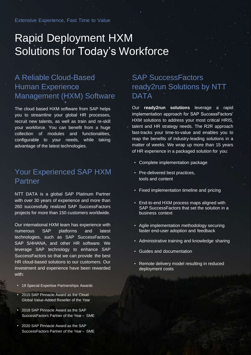## Rapid Deployment HXM Solutions for Today's Workforce

## A Reliable Cloud-Based Human Experience Management (HXM) Software

The cloud based HXM software from SAP helps you to streamline your global HR processes, recruit new talents, as well as train and re-skill your workforce. You can benefit from a huge collection of modules and functionalities, configurable to your needs, while taking advantage of the latest technologies.

## Your Experienced SAP HXM Partner

NTT DATA is a global SAP Platinum Partner with over 30 years of experience and more than 260 successfully realized SAP SuccessFactors projects for more than 150 customers worldwide.

Our international HXM team has experience with numerous SAP platforms and latest technologies, such as SAP SuccessFactors, SAP S/4HANA, and other HR software. We leverage SAP technology to enhance SAP SuccessFactors so that we can provide the best HR cloud-based solutions to our customers. Our investment and experience have been rewarded with:

- 19 Special Expertise Partnerships Awards
- 2015 SAP Pinnacle Award as the Cloud Global Value-Added Reseller of the Year
- 2018 SAP Pinnacle Award as the SAP SuccessFactors Partner of the Year – SME
- 2020 SAP Pinnacle Award as the SAP SuccessFactors Partner of the Year – SME

### SAP SuccessFactors ready2run Solutions by NTT DATA

Our **ready2run solutions** leverage a rapid implementation approach for SAP SuccessFactors' HXM solutions to address your most critical HRIS, talent and HR strategy needs. The R2R approach fast-tracks your time-to-value and enables you to reap the benefits of industry-leading solutions in a matter of weeks. We wrap up more than 15 years of HR experience in a packaged solution for you:

- Complete implementation package
- Pre-delivered best practices, tools and content
- Fixed implementation timeline and pricing
- End-to-end HXM process maps aligned with SAP SuccessFactors that set the solution in a business context
- Agile implementation methodology securing faster end-user adoption and feedback
- Administrative training and knowledge sharing
- Guides and documentation
- Remote delivery model resulting in reduced deployment costs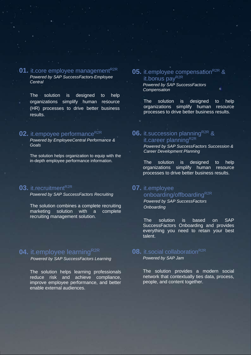#### **01.** it.core employee management<sup>R2R</sup> *Powered by SAP SuccessFactors Employee Central*

The solution is designed to help organizations simplify human resource (HR) processes to drive better business results.

#### **02.** it.empoyee performance<sup>R2R</sup>

*Powered by EmployeeCentral Performance & Goals*

The solution helps organization to equip with the in-depth employee performance information.

#### **03.** it.recruitment<sup>R2R</sup>

*Powered by SAP SuccessFactors Recruiting*

The solution combines a complete recruiting marketing solution with a complete recruiting management solution.

#### **04.** it.employee learning<sup>R2R</sup>

*Powered by SAP SuccessFactors Learning*

The solution helps learning professionals reduce risk and achieve compliance, improve employee performance, and better enable external audiences.

#### **05.** it.employee compensation<sup>R2R</sup> & it.bonus payR<sub>2R</sub>

*Powered by SAP SuccessFactors Compensation*

The solution is designed to help organizations simplify human resource processes to drive better business results.

#### **06.** it.succession planning<sup>R2R</sup> & it.career planningR2R

*Powered by SAP SuccessFactors Succession & Career Development Planning*

The solution is designed to help organizations simplify human resource processes to drive better business results.

### **07.** it.employee

#### onboarding/offboarding<sup>R2R</sup> *Powered by SAP SuccessFactors*

*Onboarding*

The solution is based on SAP SuccessFactors Onboarding and provides everything you need to retain your best talent.

## **08.** it social collaboration<sup>R2R</sup>

*Powered by SAP Jam*

The solution provides a modern social network that contextually ties data, process, people, and content together.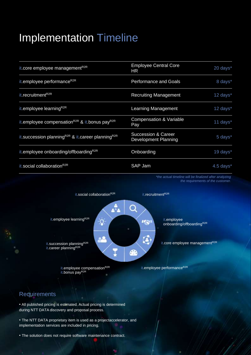## Implementation Timeline

| it.core employee management <sup>R2R</sup>                                | <b>Employee Central Core</b><br>HR                            | 20 days*       |
|---------------------------------------------------------------------------|---------------------------------------------------------------|----------------|
| it.employee performance <sup>R2R</sup>                                    | <b>Performance and Goals</b>                                  | 8 days*        |
| it.recruitment <sup>R2R</sup>                                             | <b>Recruiting Management</b>                                  | 12 days*       |
| it.employee learning <sup>R2R</sup>                                       | <b>Learning Management</b>                                    | 12 days*       |
| it.employee compensation <sup>R2R</sup> & it.bonus payR2R                 | <b>Compensation &amp; Variable</b><br><b>Pay</b>              | 11 days*       |
| it.succession planning <sup>R2R</sup> & it.career planning <sup>R2R</sup> | <b>Succession &amp; Career</b><br><b>Development Planning</b> | 5 days*        |
| it.employee onboarding/offboardingR2R                                     | Onboarding                                                    | 19 days*       |
| it.social collaboration <sup>R2R</sup>                                    | SAP Jam                                                       | $4.5$ days $*$ |

*\*the actual timeline will be finalized after analyzing the requirements of the customer.*



#### **Requirements**

• All published pricing is estimated. Actual pricing is determined during NTT DATA discovery and proposal process.

• The NTT DATA proprietary item is used as a projectaccelerator, and implementation services are included in pricing.

• The solution does not require software maintenance contract.